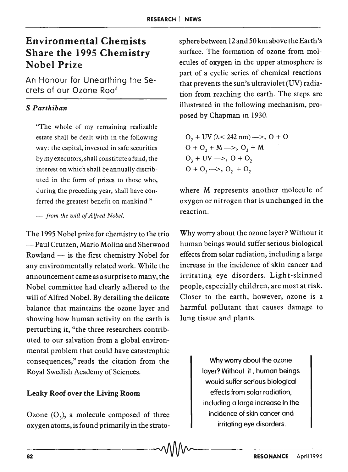# Environmental Chemists Share the 1995 Chemistry Nobel Prize

An Honour for Unearthing the Secrets of our Ozone Roof

# S *Parthiban*

"The whole of my remaining realizable estate shall be dealt with in the following way: the capital, invested in safe securities by my executors, shall constitute a fund, the interest on which shall be annually distributed in the form of prizes to those who, during the preceding year, shall have conferred the greatest benefit on mankind."

*- from the will of Alfred Nobel.* 

The 1995 Nobel prize for chemistry to the trio  $-$  Paul Crutzen, Mario Molina and Sherwood Rowland  $-$  is the first chemistry Nobel for any environmentally related work. While the announcement came as a surprise to many, the Nobel committee had clearly adhered to the will of Alfred Nobel. By detailing the delicate balance that maintains the ozone layer and showing how human activity on the earth is perturbing it, "the three researchers contributed to our salvation from a global environmental problem that could have catastrophic consequences," reads the citation from the Royal Swedish Academy of Sciences.

# Leaky Roof over the Living Room

Ozone  $(O_3)$ , a molecule composed of three oxygen atoms, is found primarily in the stratosphere between 12 and 50 km above the Earth's surface. The formation of ozone from molecules of oxygen in the upper atmosphere is part of a cyclic series of chemical reactions that prevents the sun's ultraviolet (UV) radiation from reaching the earth. The steps are illustrated in the following mechanism, proposed by Chapman in 1930.

$$
O2 + UV (\lambda < 242 nm) \longrightarrow, O + O \nO + O2 + M \longrightarrow, O3 + M \nO3 + UV \longrightarrow, O + O2 \nO + O3 \longrightarrow, O2 + O2
$$

where M represents another molecule of oxygen or nitrogen that is unchanged in the reaction.

Why worry about the ozone layer? Without it human beings would suffer serious biological effects from solar radiation, including a large increase in the incidence of skin cancer and irritating eye disorders. Light-skinned people, especially children, are most at risk. Closer to the earth, however, ozone is a harmful pollutant that causes damage to lung tissue and plants.

> Why worry about the ozone layer? Without it , human beings would suffer serious biological effects from solar radiation, including a large increase in the incidence of skin cancer and irritating eye disorders.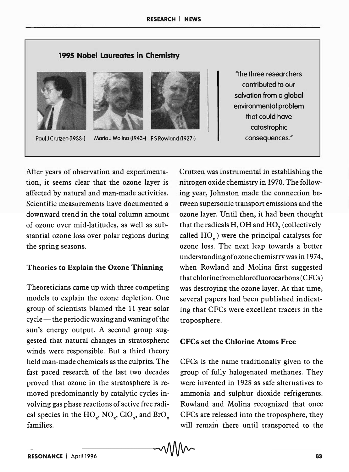## 1995 Nobel Laureates in Chemistry







Paul J Crutzen (1933-) Mario J Molina (1943-) F S Rowland (1927-)

After years of observation and experimentation, it seems clear that the ozone layer is affected by natural and man-made activities. Scientific measurements have documented a downward trend in the total column amount of ozone over mid-latitudes, as well as substantial ozone loss over polar regions during the spring seasons.

#### Theories to Explain the Ozone Thinning

Theoreticians came up with three competing models to explain the ozone depletion. One group of scientists blamed the II-year solar cycle — the periodic waxing and waning of the sun's energy output. A second group suggested that natural changes in stratospheric winds were responsible. But a third theory held man-made chemicals as the culprits. The fast paced research of the last two decades proved that ozone in the stratosphere is removed predominantly by catalytic cycles involving gas phase reactions of active free radical species in the  $HO_x$ ,  $NO_x$ ,  $ClO_x$ , and  $BrO_x$ families.

"the three researchers contributed to our salvation from a global environmental problem that could have catastrophic consequences."

Crutzen was instrumental in establishing the nitrogen oxide chemistry in 1970. The following year, Johnston made the connection between supersonic transport emissions and the ozone layer. Until then, it had been thought that the radicals  $H$ , OH and  $HO$ <sub>2</sub> (collectively called  $HO<sub>x</sub>$ ) were the principal catalysts for ozone loss. The next leap towards a better understanding of ozone chemistry was in 1974, when Rowland and Molina first suggested that chlorine from chlorofluorocarbons (CFCs) was destroying the ozone layer. At that time, several papers had been published indicating that CFCs were excellent tracers in the troposphere.

## CFCs set the Chlorine Atoms Free

CFCs is the name traditionally given to the group of fully halogenated methanes. They were invented in 1928 as safe alternatives to ammonia and sulphur dioxide refrigerants. Rowland and Molina recognized that once CFCs are released into the troposphere, they will remain there until transported to the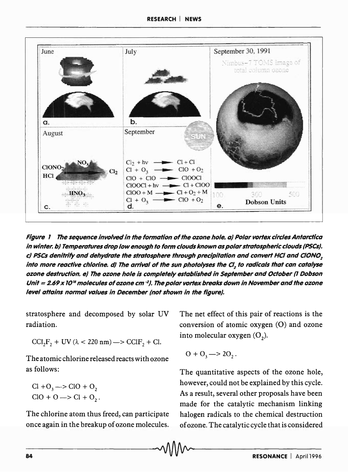

Figure 1 The sequence involved in the formation of the ozone hole. a) Polar vortex circles Antarctica in winter. b) Temperatures drop low enough to form clouds known as polar stratospheric clouds (PSCS). c) PSCs denitrify and dehydrate the stratosphere through precipitation and convert HCI and CION0*<sup>2</sup>* into more reactive chlorine. d) The arrival of the sun photolyses the CI, to radicals that can catalyse ozone destruction. e) The ozone hole is completely established in September and October (1 Dobson Unit = 2.69 x 10<sup>16</sup> molecules of ozone cm <sup>-2</sup>). The polar vortex breaks down in November and the ozone level attains normal values in December (not shown in the figure).

stratosphere and decomposed by solar UV radiation.

CCI<sub>2</sub>F<sub>2</sub> + UV ( $\lambda$  < 220 nm) -  $>$  CCIF<sub>2</sub> + Cl.

The atomic chlorine released reacts wi th ozone as follows:

 $Cl + O_3 \rightarrow ClO + O_2$  $ClO + O \longrightarrow Cl + O$ .

The chlorine atom thus freed, can participate once again in the breakup of ozone molecules. The net effect of this pair of reactions is the conversion of atomic oxygen (0) and ozone into molecular oxygen  $(O_2)$ .

$$
O + O_3 \longrightarrow 2O_2.
$$

The quantitative aspects of the ozone hole, however, could not be explained by this cycle. As a result, several other proposals have been made for the catalytic mechanism linking halogen radicals to the chemical destruction of ozone. The catalytic cycle that is considered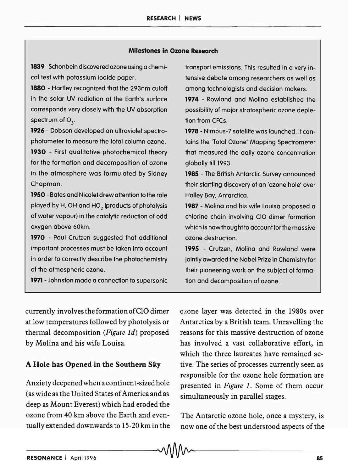#### Milestones in Ozone Research

1839 - Schonbein discovered ozone using a chemical test with potassium iodide paper.

1880 - Hartley recognized that the 293nm cutoff in the solar UV radiation at the Earth's surface corresponds very closely with the UV absorption spectrum of  $O_3$ .

1926 - Dobson developed an ultraviolet spectrophotometer to measure the total column ozone.

1930 - First qualitative photochemical theory for the formation and decomposition of ozone in the atmosphere was formulated by Sidney Chapman.

1950 - Bates and Nicolet drew attention to the role played by H, OH and HO<sub>2</sub> (products of photolysis of water vapour) in the catalytic reduction of odd oxygen above 60km.

1970 - Paul Crutzen suggested that additional important processes must be taken into account in order to correctly describe the photochemistry of the atmospheric ozone.

1971 - Johnston made a connection to supersonic

transport emissions. This resulted in a very intensive debate among researchers as well as among technologists and decision makers.

1974 - Rowland and Molina established the possibility of major stratospheric ozone depletion from CFCs.

1978 - Nimbus-7 satellite was launched. It contains the 'Total Ozone' Mapping Spectrometer that measured the daily ozone concentration globally till 1993.

1985 - The British Antarctic Survey announced their startling discovery of an 'ozone hole' over Halley Bay, Antarctica.

1987 - Molina and his wife Louisa proposed a chlorine chain involving CIO dimer formation which is now thought to account for the massive ozone destruction.

1995 - Crutzen, Molina and Rowland were jointly awarded the Nobel Prize in Chemistry for their pioneering work on the subject of formation and decomposition of ozone.

currently involves the formation ofCIO dimer at low temperatures followed by photolysis or thermal decomposition *(Figure 1d)* proposed by Molina and his wife Louisa.

#### A Hole has Opened in the Southern Sky

Anxiety deepened when a continent-sized hole (as wide as the United States of America and as deep as Mount Everest) which had eroded the ozone from 40 km above the Earth and eventually extended downwards to 15-20 km in the ozone layer was detected in the 1980s over Antarctica by a British team. Unravelling the reasons for this massive destruction of ozone has involved a vast collaborative effort, in which the three laureates have remained active. The series of processes currently seen as responsible for the ozone hole formation are presented in *Figure* 1. Some of them occur simultaneously in parallel stages.

The Antarctic ozone hole, once a mystery, is now one of the best understood aspects of the